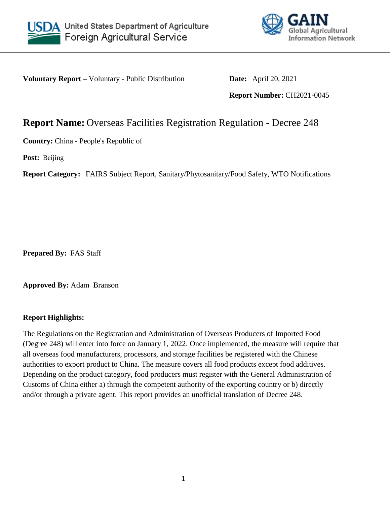



**Voluntary Report –** Voluntary - Public Distribution **Date:** April 20, 2021

**Report Number:** CH2021-0045

# **Report Name:** Overseas Facilities Registration Regulation - Decree 248

**Country:** China - People's Republic of

**Post:** Beijing

**Report Category:** FAIRS Subject Report, Sanitary/Phytosanitary/Food Safety, WTO Notifications

**Prepared By:** FAS Staff

**Approved By:** Adam Branson

# **Report Highlights:**

The Regulations on the Registration and Administration of Overseas Producers of Imported Food (Degree 248) will enter into force on January 1, 2022. Once implemented, the measure will require that all overseas food manufacturers, processors, and storage facilities be registered with the Chinese authorities to export product to China. The measure covers all food products except food additives. Depending on the product category, food producers must register with the General Administration of Customs of China either a) through the competent authority of the exporting country or b) directly and/or through a private agent. This report provides an unofficial translation of Decree 248.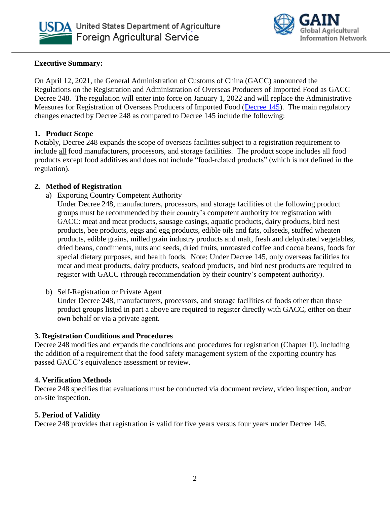



## **Executive Summary:**

On April 12, 2021, the General Administration of Customs of China (GACC) announced the Regulations on the Registration and Administration of Overseas Producers of Imported Food as GACC Decree 248. The regulation will enter into force on January 1, 2022 and will replace the Administrative Measures for Registration of Overseas Producers of Imported Food [\(Decree 145\)](https://apps.fas.usda.gov/newgainapi/api/Report/DownloadReportByFileName?fileName=Registration%20of%20Overseas%20Manufacturers%20of%20Imported%20Food%20(Final)_Beijing_China%20-%20Peoples%20Republic%20of_4-6-2012). The main regulatory changes enacted by Decree 248 as compared to Decree 145 include the following:

#### **1. Product Scope**

Notably, Decree 248 expands the scope of overseas facilities subject to a registration requirement to include all food manufacturers, processors, and storage facilities. The product scope includes all food products except food additives and does not include "food-related products" (which is not defined in the regulation).

## **2. Method of Registration**

a) Exporting Country Competent Authority

Under Decree 248, manufacturers, processors, and storage facilities of the following product groups must be recommended by their country's competent authority for registration with GACC: meat and meat products, sausage casings, aquatic products, dairy products, bird nest products, bee products, eggs and egg products, edible oils and fats, oilseeds, stuffed wheaten products, edible grains, milled grain industry products and malt, fresh and dehydrated vegetables, dried beans, condiments, nuts and seeds, dried fruits, unroasted coffee and cocoa beans, foods for special dietary purposes, and health foods. Note: Under Decree 145, only overseas facilities for meat and meat products, dairy products, seafood products, and bird nest products are required to register with GACC (through recommendation by their country's competent authority).

b) Self-Registration or Private Agent

Under Decree 248, manufacturers, processors, and storage facilities of foods other than those product groups listed in part a above are required to register directly with GACC, either on their own behalf or via a private agent.

#### **3. Registration Conditions and Procedures**

Decree 248 modifies and expands the conditions and procedures for registration (Chapter II), including the addition of a requirement that the food safety management system of the exporting country has passed GACC's equivalence assessment or review.

#### **4. Verification Methods**

Decree 248 specifies that evaluations must be conducted via document review, video inspection, and/or on-site inspection.

# **5. Period of Validity**

Decree 248 provides that registration is valid for five years versus four years under Decree 145.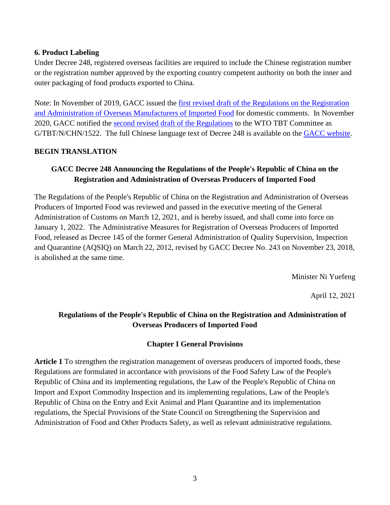#### **6. Product Labeling**

Under Decree 248, registered overseas facilities are required to include the Chinese registration number or the registration number approved by the exporting country competent authority on both the inner and outer packaging of food products exported to China.

Note: In November of 2019, GACC issued the [first revised draft of the Regulations on the Registration](https://apps.fas.usda.gov/newgainapi/api/Report/DownloadReportByFileName?fileName=China%20Released%20Draft%20Administrative%20Measures%20for%20Registration%20of%20Overseas%20Producers%20of%20Imported%20Foods%20%20_Beijing_China%20-%20Peoples%20Republic%20of_12-05-2019)  and Administration of Overseas [Manufacturers of Imported Food](https://apps.fas.usda.gov/newgainapi/api/Report/DownloadReportByFileName?fileName=China%20Released%20Draft%20Administrative%20Measures%20for%20Registration%20of%20Overseas%20Producers%20of%20Imported%20Foods%20%20_Beijing_China%20-%20Peoples%20Republic%20of_12-05-2019) for domestic comments. In November 2020, GACC notified the [second revised draft of the Regulations](https://apps.fas.usda.gov/newgainapi/api/Report/DownloadReportByFileName?fileName=China%20Notifies%20Revised%20Overseas%20Facilities%20Registration%20Regulations%20as%20TBT%201522_Beijing_China%20-%20Peoples%20Republic%20of_12-02-2020) to the WTO TBT Committee as G/TBT/N/CHN/1522. The full Chinese language text of Decree 248 is available on the [GACC website.](http://www.customs.gov.cn/customs/302249/2480148/3619591/index.html)

#### **BEGIN TRANSLATION**

# **GACC Decree 248 Announcing the Regulations of the People's Republic of China on the Registration and Administration of Overseas Producers of Imported Food**

The Regulations of the People's Republic of China on the Registration and Administration of Overseas Producers of Imported Food was reviewed and passed in the executive meeting of the General Administration of Customs on March 12, 2021, and is hereby issued, and shall come into force on January 1, 2022. The Administrative Measures for Registration of Overseas Producers of Imported Food, released as Decree 145 of the former General Administration of Quality Supervision, Inspection and Quarantine (AQSIQ) on March 22, 2012, revised by GACC Decree No. 243 on November 23, 2018, is abolished at the same time.

Minister Ni Yuefeng

April 12, 2021

# **Regulations of the People's Republic of China on the Registration and Administration of Overseas Producers of Imported Food**

# **Chapter I General Provisions**

**Article 1** To strengthen the registration management of overseas producers of imported foods, these Regulations are formulated in accordance with provisions of the Food Safety Law of the People's Republic of China and its implementing regulations, the Law of the People's Republic of China on Import and Export Commodity Inspection and its implementing regulations, Law of the People's Republic of China on the Entry and Exit Animal and Plant Quarantine and its implementation regulations, the Special Provisions of the State Council on Strengthening the Supervision and Administration of Food and Other Products Safety, as well as relevant administrative regulations.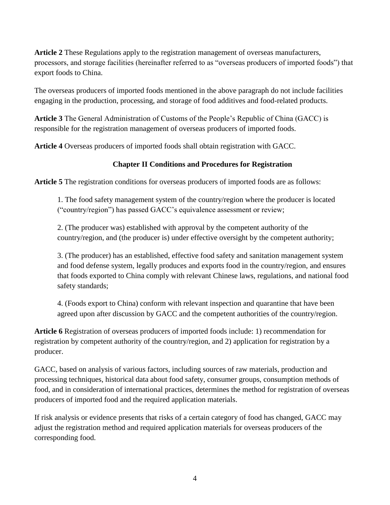**Article 2** These Regulations apply to the registration management of overseas manufacturers, processors, and storage facilities (hereinafter referred to as "overseas producers of imported foods") that export foods to China.

The overseas producers of imported foods mentioned in the above paragraph do not include facilities engaging in the production, processing, and storage of food additives and food-related products.

**Article 3** The General Administration of Customs of the People's Republic of China (GACC) is responsible for the registration management of overseas producers of imported foods.

**Article 4** Overseas producers of imported foods shall obtain registration with GACC.

# **Chapter II Conditions and Procedures for Registration**

**Article 5** The registration conditions for overseas producers of imported foods are as follows:

1. The food safety management system of the country/region where the producer is located ("country/region") has passed GACC's equivalence assessment or review;

2. (The producer was) established with approval by the competent authority of the country/region, and (the producer is) under effective oversight by the competent authority;

3. (The producer) has an established, effective food safety and sanitation management system and food defense system, legally produces and exports food in the country/region, and ensures that foods exported to China comply with relevant Chinese laws, regulations, and national food safety standards;

4. (Foods export to China) conform with relevant inspection and quarantine that have been agreed upon after discussion by GACC and the competent authorities of the country/region.

**Article 6** Registration of overseas producers of imported foods include: 1) recommendation for registration by competent authority of the country/region, and 2) application for registration by a producer.

GACC, based on analysis of various factors, including sources of raw materials, production and processing techniques, historical data about food safety, consumer groups, consumption methods of food, and in consideration of international practices, determines the method for registration of overseas producers of imported food and the required application materials.

If risk analysis or evidence presents that risks of a certain category of food has changed, GACC may adjust the registration method and required application materials for overseas producers of the corresponding food.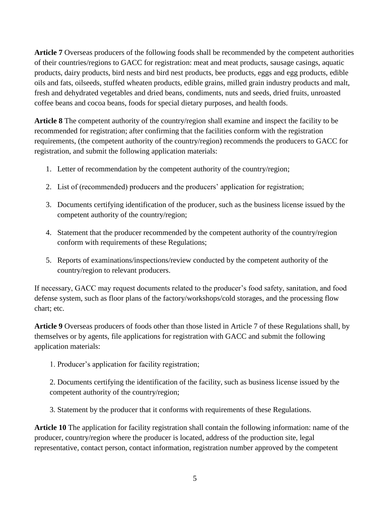**Article 7** Overseas producers of the following foods shall be recommended by the competent authorities of their countries/regions to GACC for registration: meat and meat products, sausage casings, aquatic products, dairy products, bird nests and bird nest products, bee products, eggs and egg products, edible oils and fats, oilseeds, stuffed wheaten products, edible grains, milled grain industry products and malt, fresh and dehydrated vegetables and dried beans, condiments, nuts and seeds, dried fruits, unroasted coffee beans and cocoa beans, foods for special dietary purposes, and health foods.

**Article 8** The competent authority of the country/region shall examine and inspect the facility to be recommended for registration; after confirming that the facilities conform with the registration requirements, (the competent authority of the country/region) recommends the producers to GACC for registration, and submit the following application materials:

- 1. Letter of recommendation by the competent authority of the country/region;
- 2. List of (recommended) producers and the producers' application for registration;
- 3. Documents certifying identification of the producer, such as the business license issued by the competent authority of the country/region;
- 4. Statement that the producer recommended by the competent authority of the country/region conform with requirements of these Regulations;
- 5. Reports of examinations/inspections/review conducted by the competent authority of the country/region to relevant producers.

If necessary, GACC may request documents related to the producer's food safety, sanitation, and food defense system, such as floor plans of the factory/workshops/cold storages, and the processing flow chart; etc.

**Article 9** Overseas producers of foods other than those listed in Article 7 of these Regulations shall, by themselves or by agents, file applications for registration with GACC and submit the following application materials:

1. Producer's application for facility registration;

2. Documents certifying the identification of the facility, such as business license issued by the competent authority of the country/region;

3. Statement by the producer that it conforms with requirements of these Regulations.

**Article 10** The application for facility registration shall contain the following information: name of the producer, country/region where the producer is located, address of the production site, legal representative, contact person, contact information, registration number approved by the competent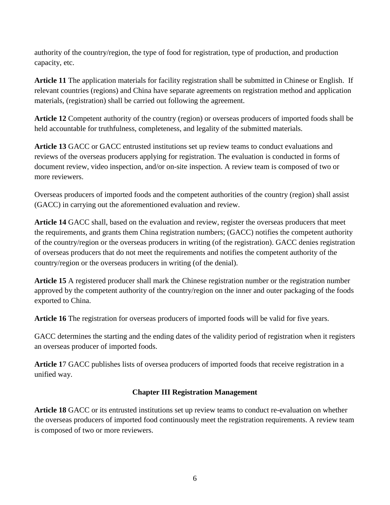authority of the country/region, the type of food for registration, type of production, and production capacity, etc.

**Article 11** The application materials for facility registration shall be submitted in Chinese or English. If relevant countries (regions) and China have separate agreements on registration method and application materials, (registration) shall be carried out following the agreement.

**Article 12** Competent authority of the country (region) or overseas producers of imported foods shall be held accountable for truthfulness, completeness, and legality of the submitted materials.

**Article 13** GACC or GACC entrusted institutions set up review teams to conduct evaluations and reviews of the overseas producers applying for registration. The evaluation is conducted in forms of document review, video inspection, and/or on-site inspection. A review team is composed of two or more reviewers.

Overseas producers of imported foods and the competent authorities of the country (region) shall assist (GACC) in carrying out the aforementioned evaluation and review.

**Article 14** GACC shall, based on the evaluation and review, register the overseas producers that meet the requirements, and grants them China registration numbers; (GACC) notifies the competent authority of the country/region or the overseas producers in writing (of the registration). GACC denies registration of overseas producers that do not meet the requirements and notifies the competent authority of the country/region or the overseas producers in writing (of the denial).

**Article 15** A registered producer shall mark the Chinese registration number or the registration number approved by the competent authority of the country/region on the inner and outer packaging of the foods exported to China.

**Article 16** The registration for overseas producers of imported foods will be valid for five years.

GACC determines the starting and the ending dates of the validity period of registration when it registers an overseas producer of imported foods.

**Article 1**7 GACC publishes lists of oversea producers of imported foods that receive registration in a unified way.

#### **Chapter III Registration Management**

**Article 18** GACC or its entrusted institutions set up review teams to conduct re-evaluation on whether the overseas producers of imported food continuously meet the registration requirements. A review team is composed of two or more reviewers.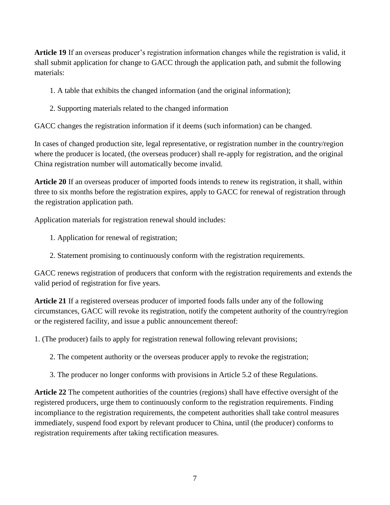**Article 19** If an overseas producer's registration information changes while the registration is valid, it shall submit application for change to GACC through the application path, and submit the following materials:

- 1. A table that exhibits the changed information (and the original information);
- 2. Supporting materials related to the changed information

GACC changes the registration information if it deems (such information) can be changed.

In cases of changed production site, legal representative, or registration number in the country/region where the producer is located, (the overseas producer) shall re-apply for registration, and the original China registration number will automatically become invalid.

**Article 20** If an overseas producer of imported foods intends to renew its registration, it shall, within three to six months before the registration expires, apply to GACC for renewal of registration through the registration application path.

Application materials for registration renewal should includes:

- 1. Application for renewal of registration;
- 2. Statement promising to continuously conform with the registration requirements.

GACC renews registration of producers that conform with the registration requirements and extends the valid period of registration for five years.

**Article 21** If a registered overseas producer of imported foods falls under any of the following circumstances, GACC will revoke its registration, notify the competent authority of the country/region or the registered facility, and issue a public announcement thereof:

1. (The producer) fails to apply for registration renewal following relevant provisions;

- 2. The competent authority or the overseas producer apply to revoke the registration;
- 3. The producer no longer conforms with provisions in Article 5.2 of these Regulations.

**Article 22** The competent authorities of the countries (regions) shall have effective oversight of the registered producers, urge them to continuously conform to the registration requirements. Finding incompliance to the registration requirements, the competent authorities shall take control measures immediately, suspend food export by relevant producer to China, until (the producer) conforms to registration requirements after taking rectification measures.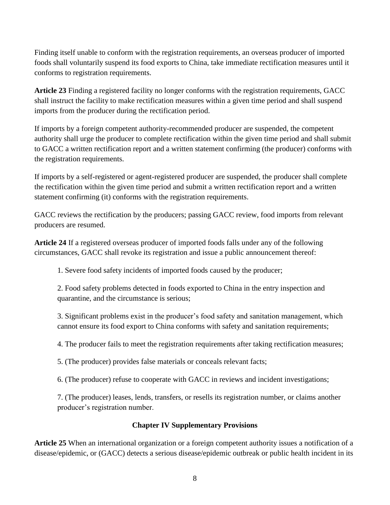Finding itself unable to conform with the registration requirements, an overseas producer of imported foods shall voluntarily suspend its food exports to China, take immediate rectification measures until it conforms to registration requirements.

**Article 23** Finding a registered facility no longer conforms with the registration requirements, GACC shall instruct the facility to make rectification measures within a given time period and shall suspend imports from the producer during the rectification period.

If imports by a foreign competent authority-recommended producer are suspended, the competent authority shall urge the producer to complete rectification within the given time period and shall submit to GACC a written rectification report and a written statement confirming (the producer) conforms with the registration requirements.

If imports by a self-registered or agent-registered producer are suspended, the producer shall complete the rectification within the given time period and submit a written rectification report and a written statement confirming (it) conforms with the registration requirements.

GACC reviews the rectification by the producers; passing GACC review, food imports from relevant producers are resumed.

**Article 24** If a registered overseas producer of imported foods falls under any of the following circumstances, GACC shall revoke its registration and issue a public announcement thereof:

1. Severe food safety incidents of imported foods caused by the producer;

2. Food safety problems detected in foods exported to China in the entry inspection and quarantine, and the circumstance is serious;

3. Significant problems exist in the producer's food safety and sanitation management, which cannot ensure its food export to China conforms with safety and sanitation requirements;

4. The producer fails to meet the registration requirements after taking rectification measures;

5. (The producer) provides false materials or conceals relevant facts;

6. (The producer) refuse to cooperate with GACC in reviews and incident investigations;

7. (The producer) leases, lends, transfers, or resells its registration number, or claims another producer's registration number.

#### **Chapter IV Supplementary Provisions**

**Article 25** When an international organization or a foreign competent authority issues a notification of a disease/epidemic, or (GACC) detects a serious disease/epidemic outbreak or public health incident in its